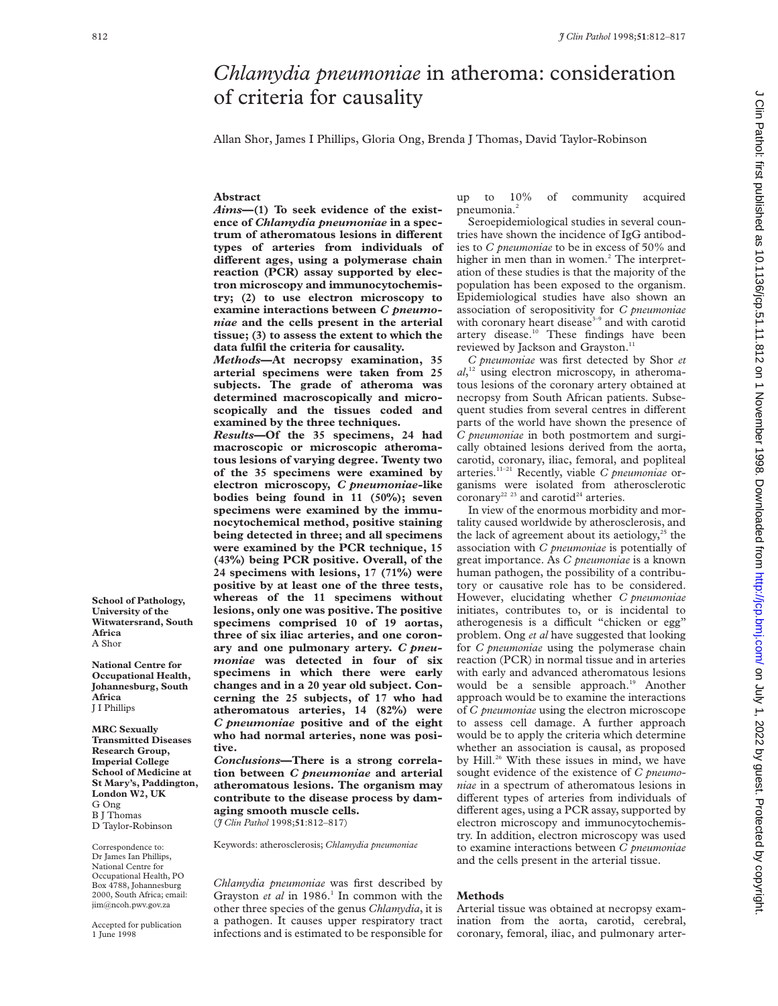# *Chlamydia pneumoniae* in atheroma: consideration of criteria for causality

Allan Shor, James I Phillips, Gloria Ong, Brenda J Thomas, David Taylor-Robinson

# **Abstract**

*Aims***—(1) To seek evidence of the existence of** *Chlamydia pneumoniae* **in a spectrum of atheromatous lesions in different types of arteries from individuals of diVerent ages, using a polymerase chain reaction (PCR) assay supported by electron microscopy and immunocytochemistry; (2) to use electron microscopy to examine interactions between** *C pneumoniae* **and the cells present in the arterial tissue; (3) to assess the extent to which the data fulfil the criteria for causality.**

*Methods***—At necropsy examination, 35 arterial specimens were taken from 25 subjects. The grade of atheroma was determined macroscopically and microscopically and the tissues coded and examined by the three techniques.**

*Results***—Of the 35 specimens, 24 had macroscopic or microscopic atheromatous lesions of varying degree. Twenty two of the 35 specimens were examined by electron microscopy,** *C pneumoniae-***like bodies being found in 11 (50%); seven specimens were examined by the immunocytochemical method, positive staining being detected in three; and all specimens were examined by the PCR technique, 15 (43%) being PCR positive. Overall, of the 24 specimens with lesions, 17 (71%) were positive by at least one of the three tests, whereas of the 11 specimens without lesions, only one was positive. The positive specimens comprised 10 of 19 aortas, three of six iliac arteries, and one coronary and one pulmonary artery.** *C pneumoniae* **was detected in four of six specimens in which there were early changes and in a 20 year old subject. Concerning the 25 subjects, of 17 who had atheromatous arteries, 14 (82%) were** *C pneumoniae* **positive and of the eight who had normal arteries, none was positive.**

*Conclusions***—There is a strong correlation between** *C pneumoniae* **and arterial atheromatous lesions. The organism may contribute to the disease process by damaging smooth muscle cells.** (*J Clin Pathol* 1998;**51**:812–817)

Keywords: atherosclerosis; *Chlamydia pneumoniae*

*Chlamydia pneumoniae* was first described by Grayston *et al* in 1986.<sup>1</sup> In common with the other three species of the genus *Chlamydia*, it is a pathogen. It causes upper respiratory tract infections and is estimated to be responsible for

up to 10% of community acquired pneumonia.<sup>2</sup>

Seroepidemiological studies in several countries have shown the incidence of IgG antibodies to *C pneumoniae* to be in excess of 50% and higher in men than in women.<sup>2</sup> The interpretation of these studies is that the majority of the population has been exposed to the organism. Epidemiological studies have also shown an association of seropositivity for *C pneumoniae* with coronary heart disease<sup>3-9</sup> and with carotid artery disease.<sup>10</sup> These findings have been reviewed by Jackson and Grayston.<sup>11</sup>

*C pneumoniae* was first detected by Shor *et al*, <sup>12</sup> using electron microscopy, in atheromatous lesions of the coronary artery obtained at necropsy from South African patients. Subsequent studies from several centres in different parts of the world have shown the presence of *C pneumoniae* in both postmortem and surgically obtained lesions derived from the aorta, carotid, coronary, iliac, femoral, and popliteal arteries.11–21 Recently, viable *C pneumoniae* organisms were isolated from atherosclerotic coronary<sup>22</sup> <sup>23</sup> and carotid<sup>24</sup> arteries.

In view of the enormous morbidity and mortality caused worldwide by atherosclerosis, and the lack of agreement about its aetiology,<sup>25</sup> the association with *C pneumoniae* is potentially of great importance. As *C pneumoniae* is a known human pathogen, the possibility of a contributory or causative role has to be considered. However, elucidating whether *C pneumoniae* initiates, contributes to, or is incidental to atherogenesis is a difficult "chicken or egg" problem. Ong *et al* have suggested that looking for *C pneumoniae* using the polymerase chain reaction (PCR) in normal tissue and in arteries with early and advanced atheromatous lesions would be a sensible approach.<sup>19</sup> Another approach would be to examine the interactions of *C pneumoniae* using the electron microscope to assess cell damage. A further approach would be to apply the criteria which determine whether an association is causal, as proposed by Hill.<sup>26</sup> With these issues in mind, we have sought evidence of the existence of *C pneumoniae* in a spectrum of atheromatous lesions in different types of arteries from individuals of different ages, using a PCR assay, supported by electron microscopy and immunocytochemistry. In addition, electron microscopy was used to examine interactions between *C pneumoniae* and the cells present in the arterial tissue.

# **Methods**

Arterial tissue was obtained at necropsy examination from the aorta, carotid, cerebral, coronary, femoral, iliac, and pulmonary arter-

**School of Pathology, University of the Witwatersrand, South Africa** A Shor

**National Centre for Occupational Health, Johannesburg, South Africa** J I Phillips

**MRC Sexually Transmitted Diseases Research Group, Imperial College School of Medicine at St Mary's, Paddington, London W2, UK** G Ong B J Thomas D Taylor-Robinson

Correspondence to: Dr James Ian Phillips, National Centre for Occupational Health, PO Box 4788, Johannesburg 2000, South Africa; email: jim@ncoh.pwv.gov.za

Accepted for publication 1 June 1998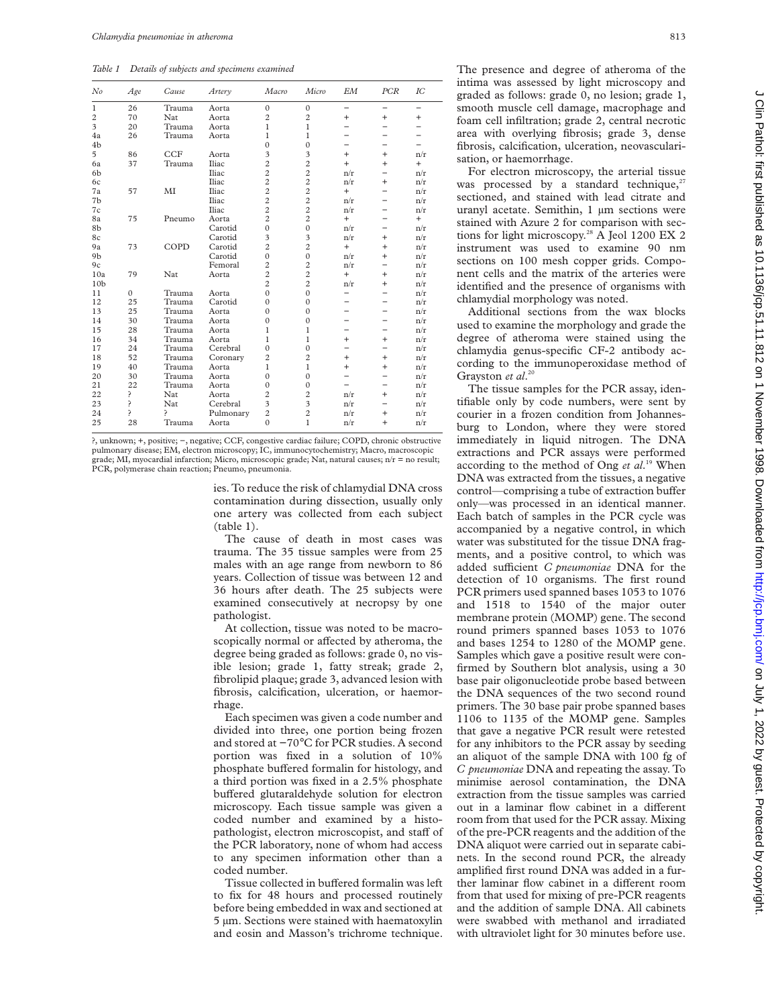*Table 1 Details of subjects and specimens examined*

| No              | Age      | Cause      | Artery    | Macro          | Micro                   | EМ        | PCR                      | $_{IC}$ |
|-----------------|----------|------------|-----------|----------------|-------------------------|-----------|--------------------------|---------|
| $\mathbf{1}$    | 26       | Trauma     | Aorta     | $\Omega$       | $\mathbf{0}$            |           | $\overline{\phantom{0}}$ |         |
| $\overline{2}$  | 70       | Nat        | Aorta     | $\overline{c}$ | $\overline{c}$          | $^{+}$    | $+$                      | $^{+}$  |
| 3               | 20       | Trauma     | Aorta     | $\mathbf{1}$   | 1                       |           |                          |         |
| 4a              | 26       | Trauma     | Aorta     | $\mathbf{1}$   | $\mathbf{1}$            |           |                          |         |
| 4b              |          |            |           | $\Omega$       | $\mathbf{0}$            |           |                          |         |
| 5               | 86       | <b>CCF</b> | Aorta     | 3              | 3                       | $^{+}$    | $+$                      | n/r     |
| 6a              | 37       | Trauma     | Iliac     | $\overline{c}$ | $\overline{c}$          | $^{+}$    | $+$                      | $+$     |
| 6b              |          |            | Iliac     | $\overline{c}$ | $\overline{c}$          | n/r       | $\overline{a}$           | n/r     |
| 6c              |          |            | Iliac     | $\overline{c}$ | $\overline{c}$          | n/r       | $\ddot{}$                | n/r     |
| 7a              | 57       | MI         | Iliac     | $\overline{c}$ | $\overline{c}$          | $^{+}$    |                          | n/r     |
| 7b              |          |            | Iliac     | $\overline{c}$ | $\overline{c}$          | n/r       |                          | n/r     |
| 7c              |          |            | Iliac     | $\overline{c}$ | $\overline{c}$          | n/r       |                          | n/r     |
| 8a              | 75       | Pneumo     | Aorta     | $\overline{2}$ | $\overline{c}$          | $^{+}$    |                          | $+$     |
| 8b              |          |            | Carotid   | $\theta$       | $\mathbf{0}$            | n/r       |                          | n/r     |
| 8c              |          |            | Carotid   | 3              | $\overline{\mathbf{3}}$ | n/r       | $\ddot{}$                | n/r     |
| 9a              | 73       | COPD       | Carotid   | $\overline{c}$ | $\overline{c}$          | $^{+}$    | $+$                      | n/r     |
| 9 <sub>b</sub>  |          |            | Carotid   | $\Omega$       | $\mathbf{0}$            | n/r       | $+$                      | n/r     |
| 9c              |          |            | Femoral   | $\overline{c}$ | $\overline{c}$          | n/r       | $\overline{\phantom{0}}$ | n/r     |
| 10a             | 79       | Nat        | Aorta     | $\overline{c}$ | $\overline{c}$          | $^{+}$    | $^{+}$                   | n/r     |
| 10 <sub>b</sub> |          |            |           | $\overline{c}$ | $\overline{c}$          | n/r       | $\ddot{}$                | n/r     |
| 11              | $\Omega$ | Trauma     | Aorta     | $\Omega$       | $\theta$                |           |                          | n/r     |
| 12              | 25       | Trauma     | Carotid   | $\Omega$       | $\mathbf{0}$            |           |                          | n/r     |
| 13              | 25       | Trauma     | Aorta     | $\Omega$       | $\mathbf{0}$            |           |                          | n/r     |
| 14              | 30       | Trauma     | Aorta     | $\theta$       | $\mathbf{0}$            |           |                          | n/r     |
| 15              | 28       | Trauma     | Aorta     | 1              | 1                       |           |                          | n/r     |
| 16              | 34       | Trauma     | Aorta     | 1              | 1                       | $\ddot{}$ | $+$                      | n/r     |
| 17              | 24       | Trauma     | Cerebral  | $\Omega$       | $\mathbf{0}$            |           |                          | n/r     |
| 18              | 52       | Trauma     | Coronary  | $\overline{c}$ | $\overline{c}$          | $^{+}$    | $\ddot{}$                | n/r     |
| 19              | 40       | Trauma     | Aorta     | $\mathbf{1}$   | $\mathbf{1}$            | $\ddot{}$ | $\ddot{}$                | n/r     |
| 20              | 30       | Trauma     | Aorta     | $\Omega$       | $\theta$                |           |                          | n/r     |
| 21              | 22       | Trauma     | Aorta     | $\Omega$       | $\theta$                |           |                          | n/r     |
| 22              | 5.       | Nat        | Aorta     | $\overline{c}$ | $\overline{c}$          | n/r       | $\ddot{}$                | n/r     |
| 23              | ć.       | Nat        | Cerebral  | 3              | 3                       | n/r       |                          | n/r     |
| 24              | Ś.       | ς          | Pulmonary | $\overline{c}$ | $\overline{c}$          | n/r       | $\ddot{}$                | n/r     |
| 25              | 28       | Trauma     | Aorta     | $\Omega$       | $\mathbf{1}$            | n/r       | $\ddot{}$                | n/r     |

?, unknown; +, positive; −, negative; CCF, congestive cardiac failure; COPD, chronic obstructive pulmonary disease; EM, electron microscopy; IC, immunocytochemistry; Macro, macroscopic grade; MI, myocardial infarction; Micro, microscopic grade; Nat, natural causes; n/r = no result; PCR, polymerase chain reaction; Pneumo, pneumonia.

> ies. To reduce the risk of chlamydial DNA cross contamination during dissection, usually only one artery was collected from each subject (table 1).

The cause of death in most cases was trauma. The 35 tissue samples were from 25 males with an age range from newborn to 86 years. Collection of tissue was between 12 and 36 hours after death. The 25 subjects were examined consecutively at necropsy by one pathologist.

At collection, tissue was noted to be macroscopically normal or affected by atheroma, the degree being graded as follows: grade 0, no visible lesion; grade 1, fatty streak; grade 2, fibrolipid plaque; grade 3, advanced lesion with fibrosis, calcification, ulceration, or haemorrhage.

Each specimen was given a code number and divided into three, one portion being frozen and stored at −70°C for PCR studies. A second portion was fixed in a solution of 10% phosphate buffered formalin for histology, and a third portion was fixed in a 2.5% phosphate buffered glutaraldehyde solution for electron microscopy. Each tissue sample was given a coded number and examined by a histopathologist, electron microscopist, and staff of the PCR laboratory, none of whom had access to any specimen information other than a coded number.

Tissue collected in buffered formalin was left to fix for 48 hours and processed routinely before being embedded in wax and sectioned at 5 µm. Sections were stained with haematoxylin and eosin and Masson's trichrome technique. The presence and degree of atheroma of the intima was assessed by light microscopy and graded as follows: grade 0, no lesion; grade 1, smooth muscle cell damage, macrophage and foam cell infiltration; grade 2, central necrotic area with overlying fibrosis; grade 3, dense fibrosis, calcification, ulceration, neovascularisation, or haemorrhage.

For electron microscopy, the arterial tissue was processed by a standard technique, $27$ sectioned, and stained with lead citrate and uranyl acetate. Semithin, 1 µm sections were stained with Azure 2 for comparison with sections for light microscopy.<sup>28</sup> A Jeol 1200 EX 2 instrument was used to examine 90 nm sections on 100 mesh copper grids. Component cells and the matrix of the arteries were identified and the presence of organisms with chlamydial morphology was noted.

Additional sections from the wax blocks used to examine the morphology and grade the degree of atheroma were stained using the chlamydia genus-specific CF-2 antibody according to the immunoperoxidase method of Grayston *et al*. 20

The tissue samples for the PCR assay, identifiable only by code numbers, were sent by courier in a frozen condition from Johannesburg to London, where they were stored immediately in liquid nitrogen. The DNA extractions and PCR assays were performed according to the method of Ong *et al*. <sup>19</sup> When DNA was extracted from the tissues, a negative control—comprising a tube of extraction buffer only—was processed in an identical manner. Each batch of samples in the PCR cycle was accompanied by a negative control, in which water was substituted for the tissue DNA fragments, and a positive control, to which was added sufficient *C pneumoniae* DNA for the detection of 10 organisms. The first round PCR primers used spanned bases 1053 to 1076 and 1518 to 1540 of the major outer membrane protein (MOMP) gene. The second round primers spanned bases 1053 to 1076 and bases 1254 to 1280 of the MOMP gene. Samples which gave a positive result were confirmed by Southern blot analysis, using a 30 base pair oligonucleotide probe based between the DNA sequences of the two second round primers. The 30 base pair probe spanned bases 1106 to 1135 of the MOMP gene. Samples that gave a negative PCR result were retested for any inhibitors to the PCR assay by seeding an aliquot of the sample DNA with 100 fg of *C pneumoniae* DNA and repeating the assay. To minimise aerosol contamination, the DNA extraction from the tissue samples was carried out in a laminar flow cabinet in a different room from that used for the PCR assay. Mixing of the pre-PCR reagents and the addition of the DNA aliquot were carried out in separate cabinets. In the second round PCR, the already amplified first round DNA was added in a further laminar flow cabinet in a different room from that used for mixing of pre-PCR reagents and the addition of sample DNA. All cabinets were swabbed with methanol and irradiated with ultraviolet light for 30 minutes before use.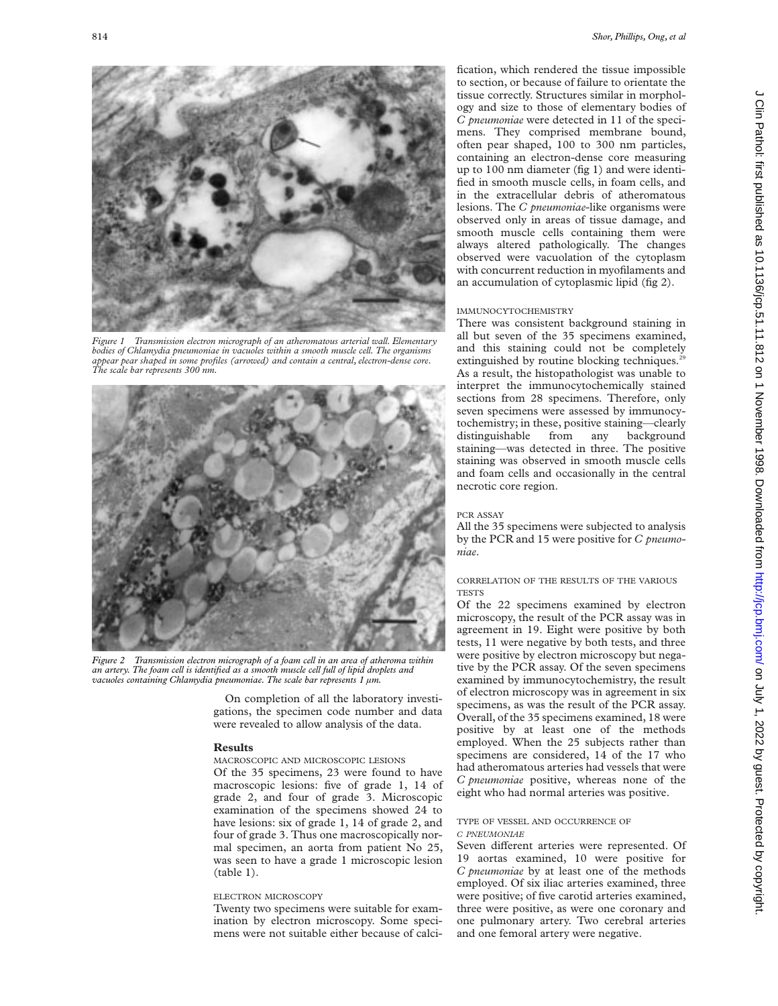

*Figure 1 Transmission electron micrograph of an atheromatous arterial wall. Elementary bodies of Chlamydia pneumoniae in vacuoles within a smooth muscle cell. The organisms appear pear shaped in some profiles (arrowed) and contain a central, electron-dense core. The scale bar represents 300 nm.*



*Figure 2 Transmission electron micrograph of a foam cell in an area of atheroma within an artery. The foam cell is identified as a smooth muscle cell full of lipid droplets and vacuoles containing Chlamydia pneumoniae. The scale bar represents 1 µm.*

On completion of all the laboratory investigations, the specimen code number and data were revealed to allow analysis of the data.

## **Results**

# MACROSCOPIC AND MICROSCOPIC LESIONS

Of the 35 specimens, 23 were found to have macroscopic lesions: five of grade 1, 14 of grade 2, and four of grade 3. Microscopic examination of the specimens showed 24 to have lesions: six of grade 1, 14 of grade 2, and four of grade 3. Thus one macroscopically normal specimen, an aorta from patient No 25, was seen to have a grade 1 microscopic lesion  $(table 1)$ .

## ELECTRON MICROSCOPY

Twenty two specimens were suitable for examination by electron microscopy. Some specimens were not suitable either because of calcification, which rendered the tissue impossible to section, or because of failure to orientate the tissue correctly. Structures similar in morphology and size to those of elementary bodies of *C pneumoniae* were detected in 11 of the specimens. They comprised membrane bound, often pear shaped, 100 to 300 nm particles, containing an electron-dense core measuring up to 100 nm diameter (fig 1) and were identified in smooth muscle cells, in foam cells, and in the extracellular debris of atheromatous lesions. The *C pneumoniae*-like organisms were observed only in areas of tissue damage, and smooth muscle cells containing them were always altered pathologically. The changes observed were vacuolation of the cytoplasm with concurrent reduction in myofilaments and an accumulation of cytoplasmic lipid (fig 2).

#### IMMUNOCYTOCHEMISTRY

There was consistent background staining in all but seven of the 35 specimens examined, and this staining could not be completely extinguished by routine blocking techniques.<sup>2</sup> As a result, the histopathologist was unable to interpret the immunocytochemically stained sections from 28 specimens. Therefore, only seven specimens were assessed by immunocytochemistry; in these, positive staining—clearly distinguishable from any background staining—was detected in three. The positive staining was observed in smooth muscle cells and foam cells and occasionally in the central necrotic core region.

#### PCR ASSAY

All the 35 specimens were subjected to analysis by the PCR and 15 were positive for *C pneumoniae*.

# CORRELATION OF THE RESULTS OF THE VARIOUS **TESTS**

Of the 22 specimens examined by electron microscopy, the result of the PCR assay was in agreement in 19. Eight were positive by both tests, 11 were negative by both tests, and three were positive by electron microscopy but negative by the PCR assay. Of the seven specimens examined by immunocytochemistry, the result of electron microscopy was in agreement in six specimens, as was the result of the PCR assay. Overall, of the 35 specimens examined, 18 were positive by at least one of the methods employed. When the 25 subjects rather than specimens are considered, 14 of the 17 who had atheromatous arteries had vessels that were *C pneumoniae* positive, whereas none of the eight who had normal arteries was positive.

#### TYPE OF VESSEL AND OCCURRENCE OF *C PNEUMONIAE*

Seven different arteries were represented. Of 19 aortas examined, 10 were positive for *C pneumoniae* by at least one of the methods employed. Of six iliac arteries examined, three were positive; of five carotid arteries examined, three were positive, as were one coronary and one pulmonary artery. Two cerebral arteries and one femoral artery were negative.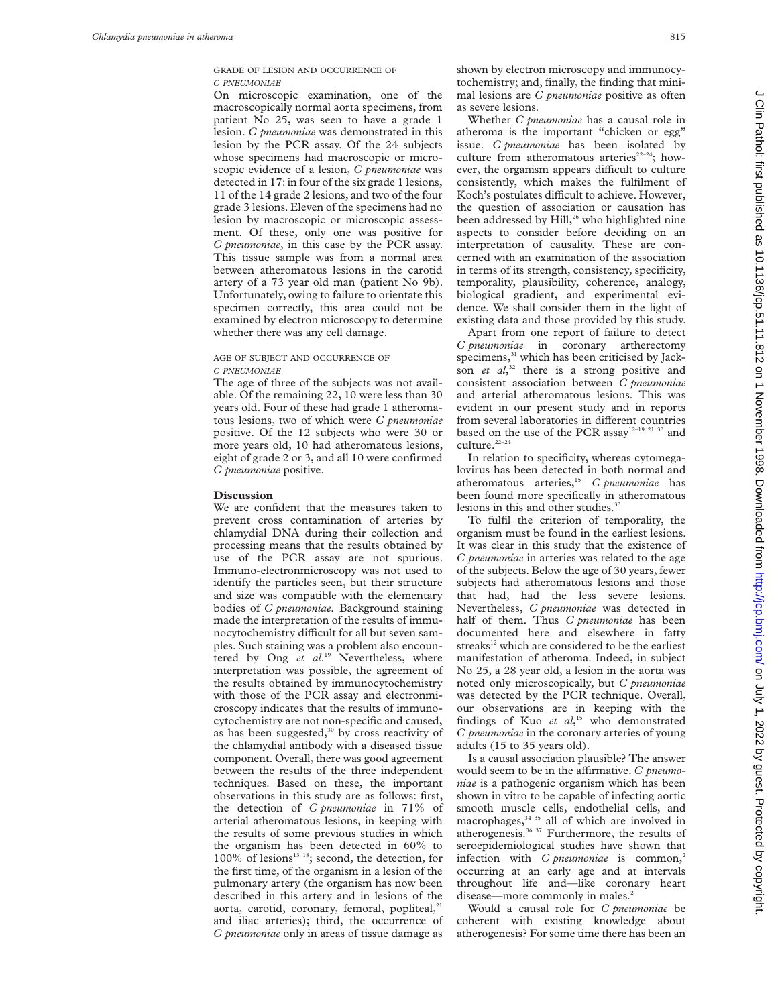GRADE OF LESION AND OCCURRENCE OF *C PNEUMONIAE*

On microscopic examination, one of the macroscopically normal aorta specimens, from patient No 25, was seen to have a grade 1 lesion. *C pneumoniae* was demonstrated in this lesion by the PCR assay. Of the 24 subjects whose specimens had macroscopic or microscopic evidence of a lesion, *C pneumoniae* was detected in 17: in four of the six grade 1 lesions, 11 of the 14 grade 2 lesions, and two of the four grade 3 lesions. Eleven of the specimens had no lesion by macroscopic or microscopic assessment. Of these, only one was positive for *C pneumoniae*, in this case by the PCR assay. This tissue sample was from a normal area between atheromatous lesions in the carotid artery of a 73 year old man (patient No 9b). Unfortunately, owing to failure to orientate this specimen correctly, this area could not be examined by electron microscopy to determine whether there was any cell damage.

### AGE OF SUBJECT AND OCCURRENCE OF *C PNEUMONIAE*

The age of three of the subjects was not available. Of the remaining 22, 10 were less than 30 years old. Four of these had grade 1 atheromatous lesions, two of which were *C pneumoniae* positive. Of the 12 subjects who were 30 or more years old, 10 had atheromatous lesions, eight of grade 2 or 3, and all 10 were confirmed *C pneumoniae* positive.

#### **Discussion**

We are confident that the measures taken to prevent cross contamination of arteries by chlamydial DNA during their collection and processing means that the results obtained by use of the PCR assay are not spurious. Immuno-electronmicroscopy was not used to identify the particles seen, but their structure and size was compatible with the elementary bodies of *C pneumoniae.* Background staining made the interpretation of the results of immunocytochemistry difficult for all but seven samples. Such staining was a problem also encountered by Ong *et al*. <sup>19</sup> Nevertheless, where interpretation was possible, the agreement of the results obtained by immunocytochemistry with those of the PCR assay and electronmicroscopy indicates that the results of immunocytochemistry are not non-specific and caused, as has been suggested, $30$  by cross reactivity of the chlamydial antibody with a diseased tissue component. Overall, there was good agreement between the results of the three independent techniques. Based on these, the important observations in this study are as follows: first, the detection of *C pneumoniae* in 71% of arterial atheromatous lesions, in keeping with the results of some previous studies in which the organism has been detected in 60% to 100% of lesions<sup>13 18</sup>; second, the detection, for the first time, of the organism in a lesion of the pulmonary artery (the organism has now been described in this artery and in lesions of the aorta, carotid, coronary, femoral, popliteal, $21$ and iliac arteries); third, the occurrence of *C pneumoniae* only in areas of tissue damage as

shown by electron microscopy and immunocytochemistry; and, finally, the finding that minimal lesions are *C pneumoniae* positive as often as severe lesions.

Whether *C pneumoniae* has a causal role in atheroma is the important "chicken or egg" issue. *C pneumoniae* has been isolated by culture from atheromatous arteries<sup>22–24</sup>; however, the organism appears difficult to culture consistently, which makes the fulfilment of Koch's postulates difficult to achieve. However, the question of association or causation has been addressed by Hill,<sup>26</sup> who highlighted nine aspects to consider before deciding on an interpretation of causality. These are concerned with an examination of the association in terms of its strength, consistency, specificity, temporality, plausibility, coherence, analogy, biological gradient, and experimental evidence. We shall consider them in the light of existing data and those provided by this study.

Apart from one report of failure to detect *C pneumoniae* in coronary artherectomy specimens,<sup>31</sup> which has been criticised by Jackson *et al*, <sup>32</sup> there is a strong positive and consistent association between *C pneumoniae* and arterial atheromatous lesions. This was evident in our present study and in reports from several laboratories in different countries based on the use of the PCR assay<sup>12-19 21 33</sup> and culture.<sup>22–24</sup>

In relation to specificity, whereas cytomegalovirus has been detected in both normal and atheromatous arteries,15 *C pneumoniae* has been found more specifically in atheromatous lesions in this and other studies.<sup>33</sup>

To fulfil the criterion of temporality, the organism must be found in the earliest lesions. It was clear in this study that the existence of *C pneumoniae* in arteries was related to the age of the subjects. Below the age of 30 years, fewer subjects had atheromatous lesions and those that had, had the less severe lesions. Nevertheless, *C pneumoniae* was detected in half of them. Thus *C pneumoniae* has been documented here and elsewhere in fatty streaks<sup>12</sup> which are considered to be the earliest manifestation of atheroma. Indeed, in subject No 25, a 28 year old, a lesion in the aorta was noted only microscopically, but *C pneumoniae* was detected by the PCR technique. Overall, our observations are in keeping with the findings of Kuo *et al*, <sup>15</sup> who demonstrated *C pneumoniae* in the coronary arteries of young adults (15 to 35 years old).

Is a causal association plausible? The answer would seem to be in the affirmative. *C pneumoniae* is a pathogenic organism which has been shown in vitro to be capable of infecting aortic smooth muscle cells, endothelial cells, and macrophages, $34 \times 35$  all of which are involved in atherogenesis.<sup>36</sup> <sup>37</sup> Furthermore, the results of seroepidemiological studies have shown that infection with *C pneumoniae* is common,<sup>2</sup> occurring at an early age and at intervals throughout life and—like coronary heart disease—more commonly in males.<sup>2</sup>

Would a causal role for *C pneumoniae* be coherent with existing knowledge about atherogenesis? For some time there has been an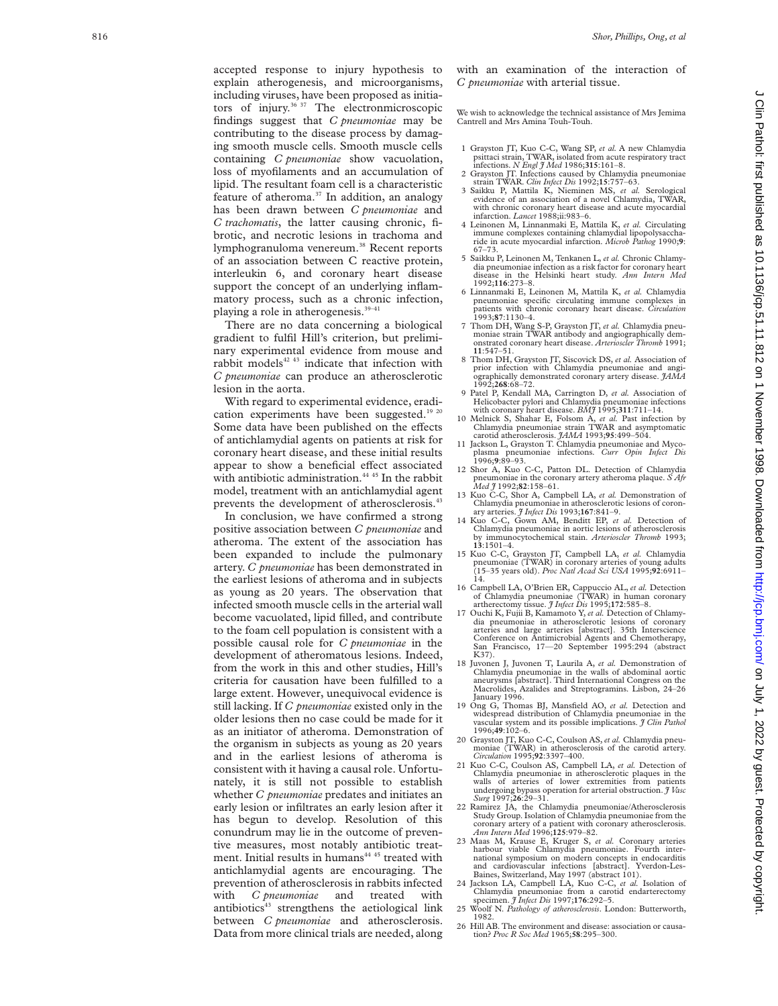accepted response to injury hypothesis to explain atherogenesis, and microorganisms, including viruses, have been proposed as initiators of injury.<sup>36 37</sup> The electronmicroscopic findings suggest that *C pneumoniae* may be contributing to the disease process by damaging smooth muscle cells. Smooth muscle cells containing *C pneumoniae* show vacuolation, loss of myofilaments and an accumulation of lipid. The resultant foam cell is a characteristic feature of atheroma. $37$  In addition, an analogy has been drawn between *C pneumoniae* and *C trachomatis*, the latter causing chronic, fibrotic, and necrotic lesions in trachoma and lymphogranuloma venereum.<sup>38</sup> Recent reports of an association between C reactive protein, interleukin 6, and coronary heart disease support the concept of an underlying inflammatory process, such as a chronic infection, playing a role in atherogenesis.<sup>39-41</sup>

There are no data concerning a biological gradient to fulfil Hill's criterion, but preliminary experimental evidence from mouse and rabbit models<sup>42 43</sup> indicate that infection with *C pneumoniae* can produce an atherosclerotic lesion in the aorta.

With regard to experimental evidence, eradication experiments have been suggested.<sup>19 20</sup> Some data have been published on the effects of antichlamydial agents on patients at risk for coronary heart disease, and these initial results appear to show a beneficial effect associated with antibiotic administration.<sup>44 45</sup> In the rabbit model, treatment with an antichlamydial agent prevents the development of atherosclerosis.<sup>43</sup>

In conclusion, we have confirmed a strong positive association between *C pneumoniae* and atheroma. The extent of the association has been expanded to include the pulmonary artery. *C pneumoniae* has been demonstrated in the earliest lesions of atheroma and in subjects as young as 20 years. The observation that infected smooth muscle cells in the arterial wall become vacuolated, lipid filled, and contribute to the foam cell population is consistent with a possible causal role for *C pneumoniae* in the development of atheromatous lesions. Indeed, from the work in this and other studies, Hill's criteria for causation have been fulfilled to a large extent. However, unequivocal evidence is still lacking. If *C pneumoniae* existed only in the older lesions then no case could be made for it as an initiator of atheroma. Demonstration of the organism in subjects as young as 20 years and in the earliest lesions of atheroma is consistent with it having a causal role. Unfortunately, it is still not possible to establish whether *C pneumoniae* predates and initiates an early lesion or infiltrates an early lesion after it has begun to develop. Resolution of this conundrum may lie in the outcome of preventive measures, most notably antibiotic treatment. Initial results in humans<sup>44 45</sup> treated with antichlamydial agents are encouraging. The prevention of atherosclerosis in rabbits infected with *C pneumoniae* and treated with antibiotics<sup>43</sup> strengthens the aetiological link between *C pneumoniae* and atherosclerosis. Data from more clinical trials are needed, along

with an examination of the interaction of *C pneumoniae* with arterial tissue.

We wish to acknowledge the technical assistance of Mrs Jemima Cantrell and Mrs Amina Touh-Touh.

- 1 Grayston JT, Kuo C-C, Wang SP, *et al.* A new Chlamydia psittaci strain, TWAR, isolated from acute respiratory tract infections. *N Engl J Med* 1986;**315**:161–8.
- 2 Grayston JT. Infections caused by Chlamydia pneumoniae strain TWAR. *Clin Infect Dis* 1992;**15**:757–63.
- 3 Saikku P, Mattila K, Nieminen MS, *et al.* Serological evidence of an association of a novel Chlamydia, TWAR, with chronic coronary heart disease and acute myocardial infarction. *Lancet* 1988;ii:983–6.
- 4 Leinonen M, Linnanmaki E, Mattila K, *et al.* Circulating immune complexes containing chlamydial lipopolysaccha-ride in acute myocardial infarction. *Microb Pathog* 1990;**9**: 67–73.
- 5 Saikku P, Leinonen M, Tenkanen L, *et al.* Chronic Chlamydia pneumoniae infection as a risk factor for coronary heart disease in the Helsinki heart study. *Ann Intern Med* 1992;**116**:273–8.
- 6 Linnanmaki E, Leinonen M, Mattila K, *et al.* Chlamydia pneumoniae specific circulating immune complexes in patients with chronic coronary heart disease. *Circulation* 1993;**87**:1130–4.
- 7 Thom DH, Wang S-P, Grayston JT, *et al.* Chlamydia pneumoniae strain TWAR antibody and angiographically onstrated coronary heart disease. *Arterioscler Thromb* 1991; **11**:547–51.
- 8 Thom DH, Grayston JT, Siscovick DS, *et al.* Association of prior infection with Chlamydia pneumoniae and angiographically demonstrated coronary artery disease. *JAMA* 1992;**268**:68–72.
- 9 Patel P, Kendall MA, Carrington D, *et al.* Association of Helicobacter pylori and Chlamydia pneumoniae infections with coronary heart disease. *BMJ* 1995;**311**:711–14.
- 10 Melnick S, Shahar E, Folsom A, *et al.* Past infection by Chlamydia pneumoniae strain TWAR and asymptomatic carotid atherosclerosis. *JAMA* 1993;**95**:499–504.
- 11 Jackson L, Grayston T. Chlamydia pneumoniae and Myco-plasma pneumoniae infections. *Curr Opin Infect Dis* 1996; **9**:89–93.
- 12 Shor A, Kuo C-C, Patton DL. Detection of Chlamydia pneumoniae in the coronary artery atheroma plaque. *S Afr Med J* 1992;**82**:158–61.
- 13 Kuo C-C, Shor A, Campbell LA, *et al.* Demonstration of Chlamydia pneumoniae in atherosclerotic lesions of coron-
- ary arteries. *J Infect Dis* 1993;**167**:841–9. 14 Kuo C-C, Gown AM, Benditt EP, *et al.* Detection of Chlamydia pneumoniae in aortic lesions of atherosclerosis by immunocytochemical stain. *Arterioscler Thromb* 1993; **13**:1501–4.
- 15 Kuo C-C, Grayston JT, Campbell LA, *et al.* Chlamydia pneumoniae (TWAR) in coronary arteries of young adults (15–35 years old). *Proc Natl Acad Sci USA* 1995;**92**:6911– 14.
- 16 Campbell LA, O'Brien ER, Cappuccio AL, *et al.* Detection of Chlamydia pneumoniae (TWAR) in human coronary artherectomy tissue. *J Infect Dis* 1995;**172**:585–8.
- 17 Ouchi K, Fujii B, Kamamoto Y, *et al.* Detection of Chlamy-dia pneumoniae in atherosclerotic lesions of coronary arteries and large arteries [abstract]. 35th Interscience Conference on Antimicrobial Agents and Chemotherapy, San Francisco, 17—20 September 1995:294 (abstract K37).
- 18 Juvonen J, Juvonen T, Laurila A, *et al.* Demonstration of Chlamydia pneumoniae in the walls of abdominal aortic<br>aneurysms [abstract]. Third International Congress on the Macrolides, Azalides and Streptogramins. Lisbon, 24–26 January 1996.
- 19 Ong G, Thomas BJ, Mansfield AO, *et al.* Detection and widespread distribution of Chlamydia pneumoniae in the vascular system and its possible implications. *J Clin Pathol* 1996;**49**:102–6.
- 20 Grayston JT, Kuo C-C, Coulson AS,*et al.* Chlamydia pneumoniae (TWAR) in atherosclerosis of the carotid artery. *Circulation* 1995;**92**:3397–400.
- 21 Kuo C-C, Coulson AS, Campbell LA, *et al.* Detection of Chlamydia pneumoniae in atherosclerotic plaques in the walls of arteries of lower extremities from patients undergoing bypass operation for arterial obstruction. *J Vasc Surg* 1997;**26**:29–31.
- 22 Ramirez JA, the Chlamydia pneumoniae/Atherosclerosis Study Group. Isolation of Chlamydia pneumoniae from the coronary artery of a patient with coronary atherosclerosis. *Ann Intern Med* 1996;**125**:979–82.
- 23 Maas M, Krause E, Kruger S, *et al.* Coronary arteries harbour viable Chlamydia pneumoniae. Fourth inter-national symposium on modern concepts in endocarditis and cardiovascular infections [abstract]. Yverdon-Les-Baines, Switzerland, May 1997 (abstract 101). 24 Jackson LA, Campbell LA, Kuo C-C, *et al.* Isolation of
- Chlamydia pneumoniae from a carotid endarterectomy specimen. *J Infect Dis* 1997;**176**:292–5. 25 Woolf N. *Pathology of atherosclerosis*. London: Butterworth,
- 1982.
- 26 Hill AB. The environment and disease: association or causation? *Proc R Soc Med* 1965;**58**:295–300.